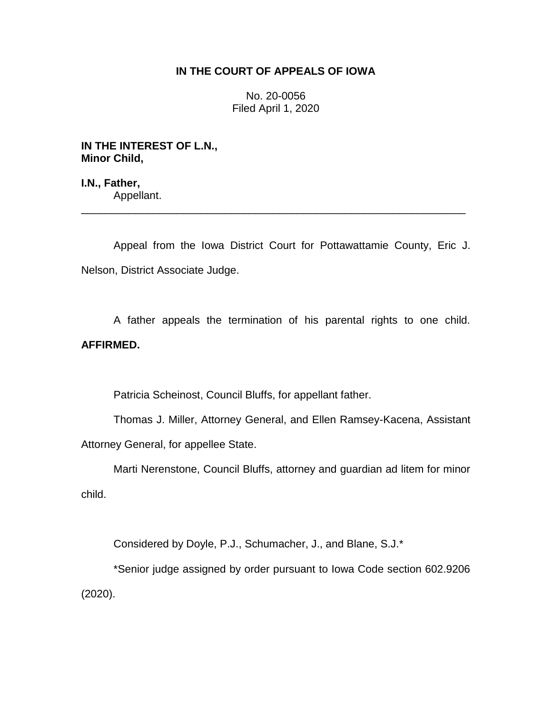## **IN THE COURT OF APPEALS OF IOWA**

No. 20-0056 Filed April 1, 2020

**IN THE INTEREST OF L.N., Minor Child,**

**I.N., Father,** Appellant. \_\_\_\_\_\_\_\_\_\_\_\_\_\_\_\_\_\_\_\_\_\_\_\_\_\_\_\_\_\_\_\_\_\_\_\_\_\_\_\_\_\_\_\_\_\_\_\_\_\_\_\_\_\_\_\_\_\_\_\_\_\_\_\_

Appeal from the Iowa District Court for Pottawattamie County, Eric J. Nelson, District Associate Judge.

A father appeals the termination of his parental rights to one child. **AFFIRMED.**

Patricia Scheinost, Council Bluffs, for appellant father.

Thomas J. Miller, Attorney General, and Ellen Ramsey-Kacena, Assistant Attorney General, for appellee State.

Marti Nerenstone, Council Bluffs, attorney and guardian ad litem for minor child.

Considered by Doyle, P.J., Schumacher, J., and Blane, S.J.\*

\*Senior judge assigned by order pursuant to Iowa Code section 602.9206 (2020).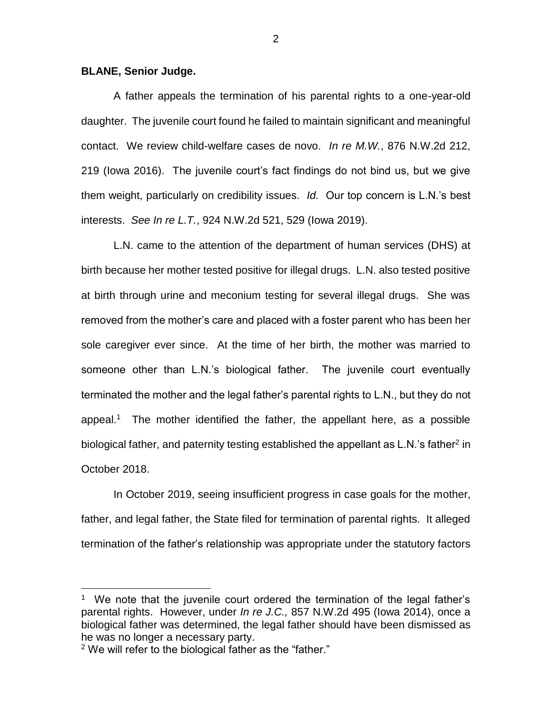## **BLANE, Senior Judge.**

A father appeals the termination of his parental rights to a one-year-old daughter. The juvenile court found he failed to maintain significant and meaningful contact. We review child-welfare cases de novo. *In re M.W.*, 876 N.W.2d 212, 219 (Iowa 2016). The juvenile court's fact findings do not bind us, but we give them weight, particularly on credibility issues. *Id.* Our top concern is L.N.'s best interests. *See In re L.T.*, 924 N.W.2d 521, 529 (Iowa 2019).

L.N. came to the attention of the department of human services (DHS) at birth because her mother tested positive for illegal drugs. L.N. also tested positive at birth through urine and meconium testing for several illegal drugs. She was removed from the mother's care and placed with a foster parent who has been her sole caregiver ever since. At the time of her birth, the mother was married to someone other than L.N.'s biological father. The juvenile court eventually terminated the mother and the legal father's parental rights to L.N., but they do not appeal.<sup>1</sup> The mother identified the father, the appellant here, as a possible biological father, and paternity testing established the appellant as L.N.'s father<sup>2</sup> in October 2018.

In October 2019, seeing insufficient progress in case goals for the mother, father, and legal father, the State filed for termination of parental rights. It alleged termination of the father's relationship was appropriate under the statutory factors

 $\overline{a}$ 

<sup>1</sup> We note that the juvenile court ordered the termination of the legal father's parental rights. However, under *In re J.C.,* 857 N.W.2d 495 (Iowa 2014), once a biological father was determined, the legal father should have been dismissed as he was no longer a necessary party.

<sup>&</sup>lt;sup>2</sup> We will refer to the biological father as the "father."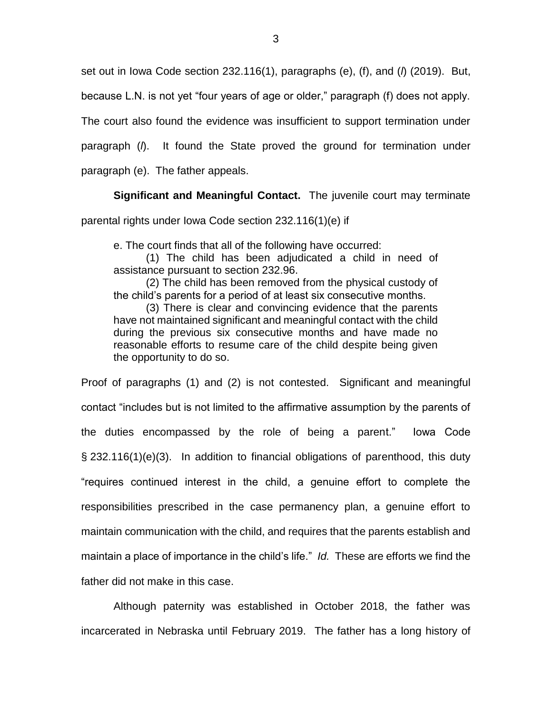set out in Iowa Code section 232.116(1), paragraphs (e), (f), and (*l*) (2019). But,

because L.N. is not yet "four years of age or older," paragraph (f) does not apply.

The court also found the evidence was insufficient to support termination under

paragraph (*l*). It found the State proved the ground for termination under

paragraph (e). The father appeals.

**Significant and Meaningful Contact.** The juvenile court may terminate

parental rights under Iowa Code section 232.116(1)(e) if

e. The court finds that all of the following have occurred:

(1) The child has been adjudicated a child in need of assistance pursuant to section 232.96.

(2) The child has been removed from the physical custody of the child's parents for a period of at least six consecutive months.

(3) There is clear and convincing evidence that the parents have not maintained significant and meaningful contact with the child during the previous six consecutive months and have made no reasonable efforts to resume care of the child despite being given the opportunity to do so.

Proof of paragraphs (1) and (2) is not contested. Significant and meaningful contact "includes but is not limited to the affirmative assumption by the parents of the duties encompassed by the role of being a parent." Iowa Code § 232.116(1)(e)(3). In addition to financial obligations of parenthood, this duty "requires continued interest in the child, a genuine effort to complete the responsibilities prescribed in the case permanency plan, a genuine effort to maintain communication with the child, and requires that the parents establish and maintain a place of importance in the child's life." *Id.* These are efforts we find the father did not make in this case.

Although paternity was established in October 2018, the father was incarcerated in Nebraska until February 2019. The father has a long history of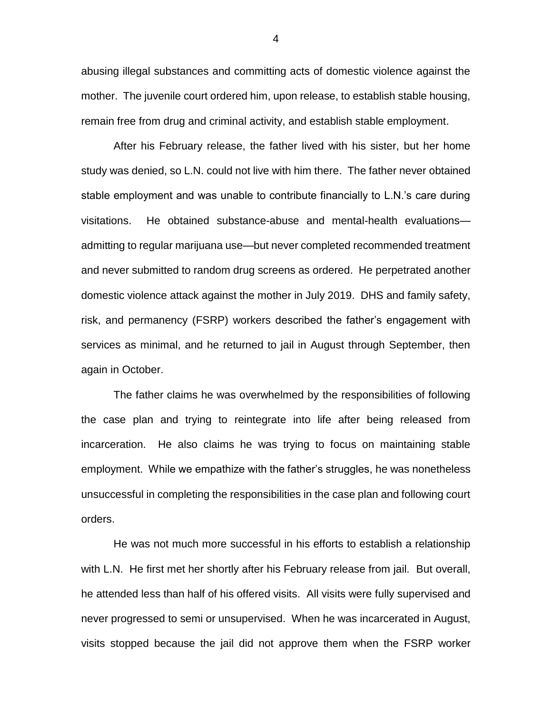abusing illegal substances and committing acts of domestic violence against the mother. The juvenile court ordered him, upon release, to establish stable housing, remain free from drug and criminal activity, and establish stable employment.

After his February release, the father lived with his sister, but her home study was denied, so L.N. could not live with him there. The father never obtained stable employment and was unable to contribute financially to L.N.'s care during visitations. He obtained substance-abuse and mental-health evaluations admitting to regular marijuana use—but never completed recommended treatment and never submitted to random drug screens as ordered. He perpetrated another domestic violence attack against the mother in July 2019. DHS and family safety, risk, and permanency (FSRP) workers described the father's engagement with services as minimal, and he returned to jail in August through September, then again in October.

The father claims he was overwhelmed by the responsibilities of following the case plan and trying to reintegrate into life after being released from incarceration. He also claims he was trying to focus on maintaining stable employment. While we empathize with the father's struggles, he was nonetheless unsuccessful in completing the responsibilities in the case plan and following court orders.

He was not much more successful in his efforts to establish a relationship with L.N. He first met her shortly after his February release from jail. But overall, he attended less than half of his offered visits. All visits were fully supervised and never progressed to semi or unsupervised. When he was incarcerated in August, visits stopped because the jail did not approve them when the FSRP worker

4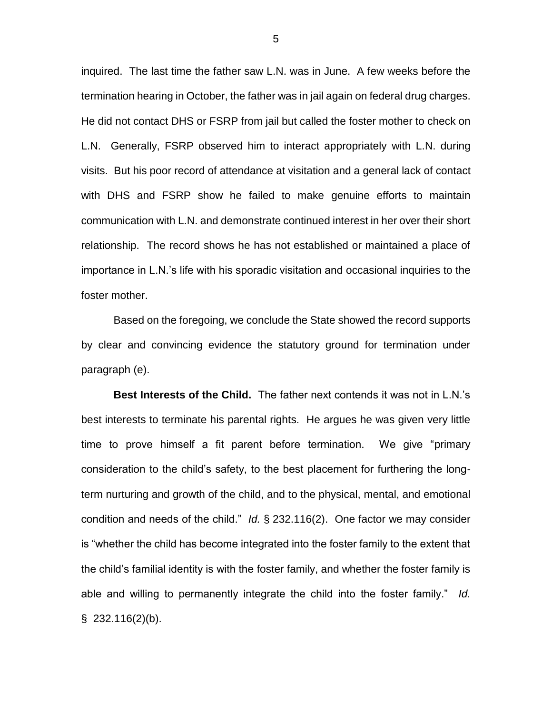inquired. The last time the father saw L.N. was in June. A few weeks before the termination hearing in October, the father was in jail again on federal drug charges. He did not contact DHS or FSRP from jail but called the foster mother to check on L.N. Generally, FSRP observed him to interact appropriately with L.N. during visits. But his poor record of attendance at visitation and a general lack of contact with DHS and FSRP show he failed to make genuine efforts to maintain communication with L.N. and demonstrate continued interest in her over their short relationship. The record shows he has not established or maintained a place of importance in L.N.'s life with his sporadic visitation and occasional inquiries to the foster mother.

Based on the foregoing, we conclude the State showed the record supports by clear and convincing evidence the statutory ground for termination under paragraph (e).

**Best Interests of the Child.** The father next contends it was not in L.N.'s best interests to terminate his parental rights. He argues he was given very little time to prove himself a fit parent before termination. We give "primary consideration to the child's safety, to the best placement for furthering the longterm nurturing and growth of the child, and to the physical, mental, and emotional condition and needs of the child." *Id.* § 232.116(2). One factor we may consider is "whether the child has become integrated into the foster family to the extent that the child's familial identity is with the foster family, and whether the foster family is able and willing to permanently integrate the child into the foster family." *Id.*  $$232.116(2)(b).$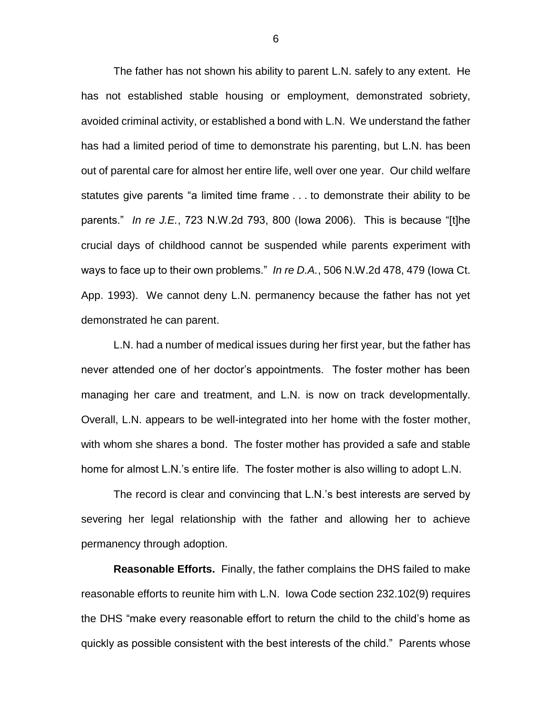The father has not shown his ability to parent L.N. safely to any extent. He has not established stable housing or employment, demonstrated sobriety, avoided criminal activity, or established a bond with L.N. We understand the father has had a limited period of time to demonstrate his parenting, but L.N. has been out of parental care for almost her entire life, well over one year. Our child welfare statutes give parents "a limited time frame . . . to demonstrate their ability to be parents." *In re J.E.*, 723 N.W.2d 793, 800 (Iowa 2006). This is because "[t]he crucial days of childhood cannot be suspended while parents experiment with ways to face up to their own problems." *In re D.A.*, 506 N.W.2d 478, 479 (Iowa Ct. App. 1993). We cannot deny L.N. permanency because the father has not yet demonstrated he can parent.

L.N. had a number of medical issues during her first year, but the father has never attended one of her doctor's appointments. The foster mother has been managing her care and treatment, and L.N. is now on track developmentally. Overall, L.N. appears to be well-integrated into her home with the foster mother, with whom she shares a bond. The foster mother has provided a safe and stable home for almost L.N.'s entire life. The foster mother is also willing to adopt L.N.

The record is clear and convincing that L.N.'s best interests are served by severing her legal relationship with the father and allowing her to achieve permanency through adoption.

**Reasonable Efforts.** Finally, the father complains the DHS failed to make reasonable efforts to reunite him with L.N. Iowa Code section 232.102(9) requires the DHS "make every reasonable effort to return the child to the child's home as quickly as possible consistent with the best interests of the child." Parents whose